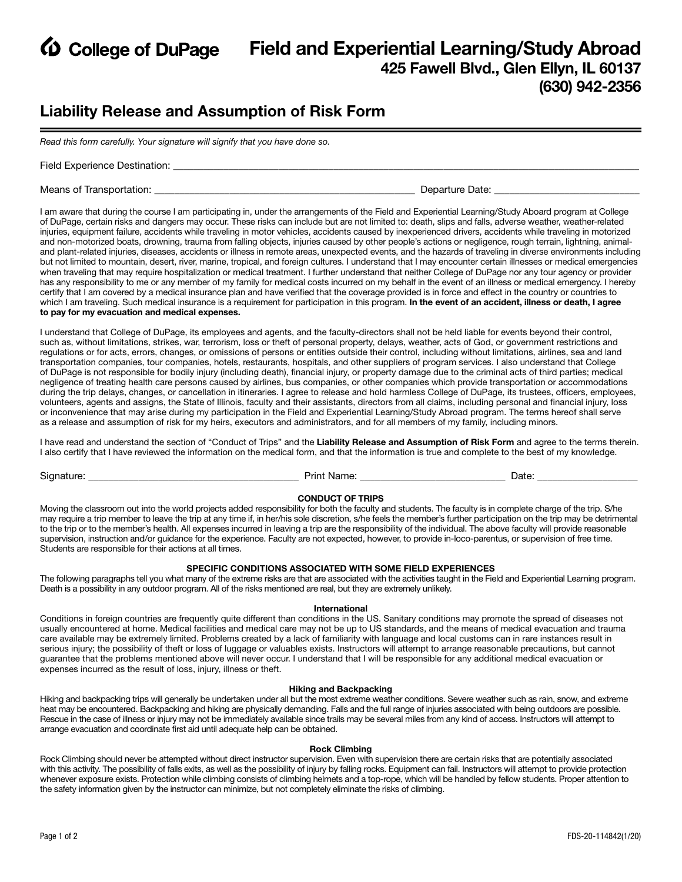

# **EXP College of DuPage Field and Experiential Learning/Study Abroad 425 Fawell Blvd., Glen Ellyn, IL 60137 (630) 942-2356**

# **Liability Release and Assumption of Risk Form**

*Read this form carefully. Your signature will signify that you have done so.* 

Field Experience Destination:

Means of Transportation: \_\_\_\_\_\_\_\_\_\_\_\_\_\_\_\_\_\_\_\_\_\_\_\_\_\_\_\_\_\_\_\_\_\_\_\_\_\_\_\_\_\_\_\_\_\_\_\_\_\_\_\_ Departure Date: \_\_\_\_\_\_\_\_\_\_\_\_\_\_\_\_\_\_\_\_\_\_\_\_\_\_\_\_\_

I am aware that during the course I am participating in, under the arrangements of the Field and Experiential Learning/Study Aboard program at College of DuPage, certain risks and dangers may occur. These risks can include but are not limited to: death, slips and falls, adverse weather, weather-related injuries, equipment failure, accidents while traveling in motor vehicles, accidents caused by inexperienced drivers, accidents while traveling in motorized and non-motorized boats, drowning, trauma from falling objects, injuries caused by other people's actions or negligence, rough terrain, lightning, animaland plant-related injuries, diseases, accidents or illness in remote areas, unexpected events, and the hazards of traveling in diverse environments including but not limited to mountain, desert, river, marine, tropical, and foreign cultures. I understand that I may encounter certain illnesses or medical emergencies when traveling that may require hospitalization or medical treatment. I further understand that neither College of DuPage nor any tour agency or provider has any responsibility to me or any member of my family for medical costs incurred on my behalf in the event of an illness or medical emergency. I hereby certify that I am covered by a medical insurance plan and have verified that the coverage provided is in force and effect in the country or countries to which I am traveling. Such medical insurance is a requirement for participation in this program. **In the event of an accident, illness or death, I agree to pay for my evacuation and medical expenses.** 

I understand that College of DuPage, its employees and agents, and the faculty-directors shall not be held liable for events beyond their control, such as, without limitations, strikes, war, terrorism, loss or theft of personal property, delays, weather, acts of God, or government restrictions and regulations or for acts, errors, changes, or omissions of persons or entities outside their control, including without limitations, airlines, sea and land transportation companies, tour companies, hotels, restaurants, hospitals, and other suppliers of program services. I also understand that College of DuPage is not responsible for bodily injury (including death), financial injury, or property damage due to the criminal acts of third parties; medical negligence of treating health care persons caused by airlines, bus companies, or other companies which provide transportation or accommodations during the trip delays, changes, or cancellation in itineraries. I agree to release and hold harmless College of DuPage, its trustees, officers, employees, volunteers, agents and assigns, the State of Illinois, faculty and their assistants, directors from all claims, including personal and financial injury, loss or inconvenience that may arise during my participation in the Field and Experiential Learning/Study Abroad program. The terms hereof shall serve as a release and assumption of risk for my heirs, executors and administrators, and for all members of my family, including minors.

I have read and understand the section of "Conduct of Trips" and the **Liability Release and Assumption of Risk Form** and agree to the terms therein. I also certify that I have reviewed the information on the medical form, and that the information is true and complete to the best of my knowledge.

Signature: \_\_\_\_\_\_\_\_\_\_\_\_\_\_\_\_\_\_\_\_\_\_\_\_\_\_\_\_\_\_\_\_\_\_\_\_\_\_\_\_\_\_ Print Name: \_\_\_\_\_\_\_\_\_\_\_\_\_\_\_\_\_\_\_\_\_\_\_\_\_\_\_\_\_ Date: \_\_\_\_\_\_\_\_\_\_\_\_\_\_\_\_\_\_\_\_

### **CONDUCT OF TRIPS**

Moving the classroom out into the world projects added responsibility for both the faculty and students. The faculty is in complete charge of the trip. S/he may require a trip member to leave the trip at any time if, in her/his sole discretion, s/he feels the member's further participation on the trip may be detrimental to the trip or to the member's health. All expenses incurred in leaving a trip are the responsibility of the individual. The above faculty will provide reasonable supervision, instruction and/or guidance for the experience. Faculty are not expected, however, to provide in-loco-parentus, or supervision of free time. Students are responsible for their actions at all times.

## **SPECIFIC CONDITIONS ASSOCIATED WITH SOME FIELD EXPERIENCES**

The following paragraphs tell you what many of the extreme risks are that are associated with the activities taught in the Field and Experiential Learning program. Death is a possibility in any outdoor program. All of the risks mentioned are real, but they are extremely unlikely.

#### **International**

Conditions in foreign countries are frequently quite different than conditions in the US. Sanitary conditions may promote the spread of diseases not usually encountered at home. Medical facilities and medical care may not be up to US standards, and the means of medical evacuation and trauma care available may be extremely limited. Problems created by a lack of familiarity with language and local customs can in rare instances result in serious injury; the possibility of theft or loss of luggage or valuables exists. Instructors will attempt to arrange reasonable precautions, but cannot guarantee that the problems mentioned above will never occur. I understand that I will be responsible for any additional medical evacuation or expenses incurred as the result of loss, injury, illness or theft.

## **Hiking and Backpacking**

Hiking and backpacking trips will generally be undertaken under all but the most extreme weather conditions. Severe weather such as rain, snow, and extreme heat may be encountered. Backpacking and hiking are physically demanding. Falls and the full range of injuries associated with being outdoors are possible. Rescue in the case of illness or injury may not be immediately available since trails may be several miles from any kind of access. Instructors will attempt to arrange evacuation and coordinate first aid until adequate help can be obtained.

#### **Rock Climbing**

Rock Climbing should never be attempted without direct instructor supervision. Even with supervision there are certain risks that are potentially associated with this activity. The possibility of falls exits, as well as the possibility of injury by falling rocks. Equipment can fail. Instructors will attempt to provide protection whenever exposure exists. Protection while climbing consists of climbing helmets and a top-rope, which will be handled by fellow students. Proper attention to the safety information given by the instructor can minimize, but not completely eliminate the risks of climbing.